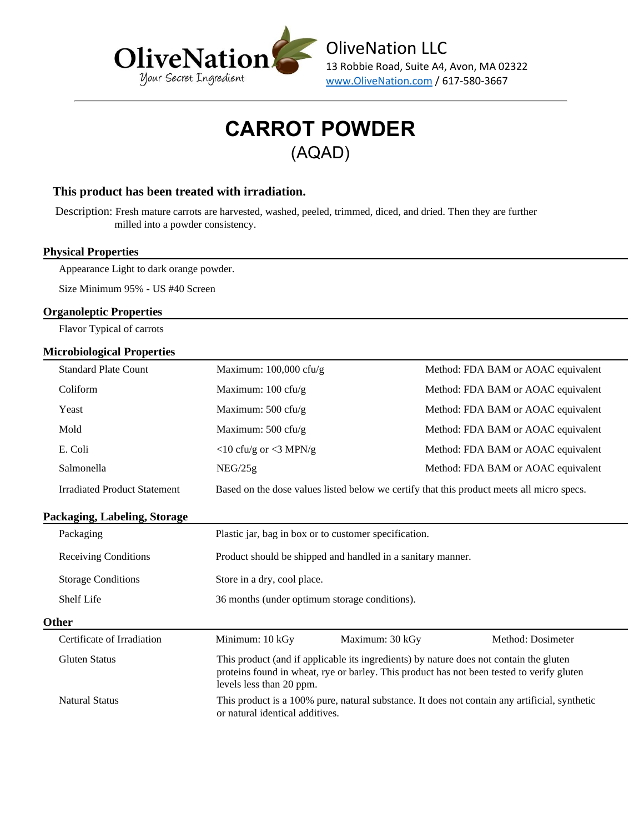

#### **This product has been treated with irradiation.**

Description: Fresh mature carrots are harvested, washed, peeled, trimmed, diced, and dried. Then they are further milled into a powder consistency.

#### **Physical Properties**

Appearance Light to dark orange powder.

Size Minimum 95% - US #40 Screen

#### **Organoleptic Properties**

Flavor Typical of carrots

### **Microbiological Properties**

| nei omningical 1 Topei nes          |                                                                                           |                                    |  |
|-------------------------------------|-------------------------------------------------------------------------------------------|------------------------------------|--|
| <b>Standard Plate Count</b>         | Maximum: $100,000$ cfu/g                                                                  | Method: FDA BAM or AOAC equivalent |  |
| Coliform                            | Maximum: $100 \text{ cfu/g}$                                                              | Method: FDA BAM or AOAC equivalent |  |
| Yeast                               | Maximum: $500 \text{ cft/g}$                                                              | Method: FDA BAM or AOAC equivalent |  |
| Mold                                | Maximum: $500 \text{ cft/g}$                                                              | Method: FDA BAM or AOAC equivalent |  |
| E. Coli                             | $\langle 10 \text{ cftu/g or } \langle 3 \text{ MPN/g} \rangle$                           | Method: FDA BAM or AOAC equivalent |  |
| Salmonella                          | NEG/25g                                                                                   | Method: FDA BAM or AOAC equivalent |  |
| <b>Irradiated Product Statement</b> | Based on the dose values listed below we certify that this product meets all micro specs. |                                    |  |

#### **Packaging, Labeling, Storage**

| $\mathbf{r}$ acha $\mathbf{s}$ <sub>11</sub> , $\mathbf{s}$ <sub>1</sub> , $\mathbf{s}$ <sub>111</sub> , $\mathbf{s}$ <sub>1</sub> , $\mathbf{s}$ <sub>111</sub> , $\mathbf{s}$ |                                                             |                                                                                                                                                                                     |                   |  |  |
|---------------------------------------------------------------------------------------------------------------------------------------------------------------------------------|-------------------------------------------------------------|-------------------------------------------------------------------------------------------------------------------------------------------------------------------------------------|-------------------|--|--|
| Packaging                                                                                                                                                                       | Plastic jar, bag in box or to customer specification.       |                                                                                                                                                                                     |                   |  |  |
| <b>Receiving Conditions</b>                                                                                                                                                     | Product should be shipped and handled in a sanitary manner. |                                                                                                                                                                                     |                   |  |  |
| <b>Storage Conditions</b>                                                                                                                                                       | Store in a dry, cool place.                                 |                                                                                                                                                                                     |                   |  |  |
| Shelf Life                                                                                                                                                                      | 36 months (under optimum storage conditions).               |                                                                                                                                                                                     |                   |  |  |
| Other                                                                                                                                                                           |                                                             |                                                                                                                                                                                     |                   |  |  |
| Certificate of Irradiation                                                                                                                                                      | Minimum: 10 kGy                                             | Maximum: 30 kGy                                                                                                                                                                     | Method: Dosimeter |  |  |
| Gluten Status                                                                                                                                                                   | levels less than 20 ppm.                                    | This product (and if applicable its ingredients) by nature does not contain the gluten<br>proteins found in wheat, rye or barley. This product has not been tested to verify gluten |                   |  |  |
| <b>Natural Status</b>                                                                                                                                                           | or natural identical additives.                             | This product is a 100% pure, natural substance. It does not contain any artificial, synthetic                                                                                       |                   |  |  |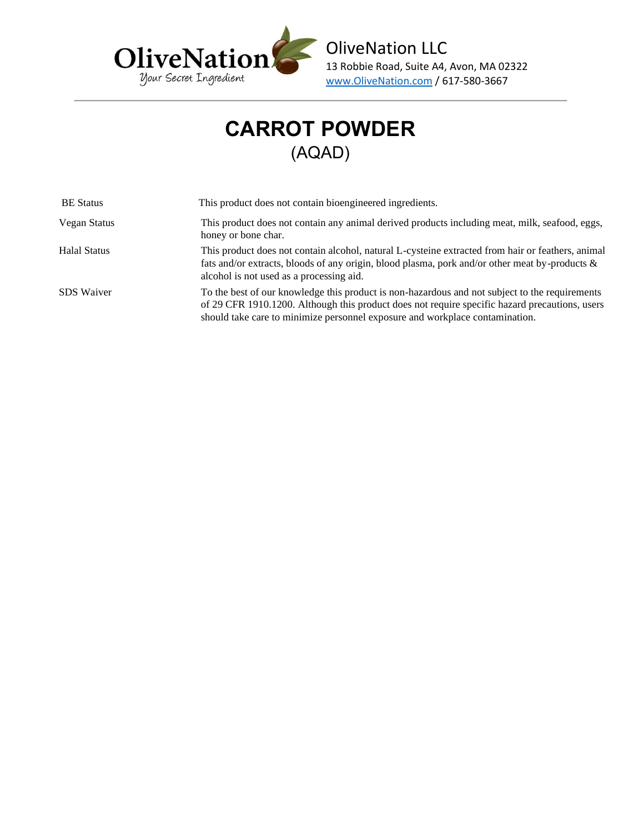

| <b>BE</b> Status  | This product does not contain bioengineered ingredients.                                                                                                                                                                                                                         |
|-------------------|----------------------------------------------------------------------------------------------------------------------------------------------------------------------------------------------------------------------------------------------------------------------------------|
| Vegan Status      | This product does not contain any animal derived products including meat, milk, seafood, eggs,<br>honey or bone char.                                                                                                                                                            |
| Halal Status      | This product does not contain alcohol, natural L-cysteine extracted from hair or feathers, animal<br>fats and/or extracts, bloods of any origin, blood plasma, pork and/or other meat by-products $\&$<br>alcohol is not used as a processing aid.                               |
| <b>SDS</b> Waiver | To the best of our knowledge this product is non-hazardous and not subject to the requirements<br>of 29 CFR 1910.1200. Although this product does not require specific hazard precautions, users<br>should take care to minimize personnel exposure and workplace contamination. |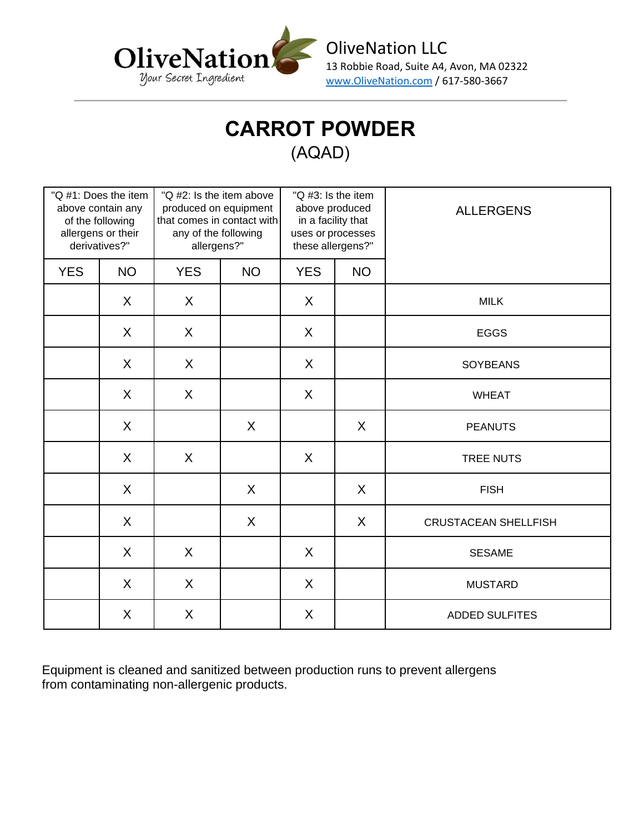

| "Q #1: Does the item<br>above contain any<br>of the following<br>allergens or their<br>derivatives?" |           | "Q #2: Is the item above<br>produced on equipment<br>that comes in contact with<br>any of the following<br>allergens?" |           | "Q #3: Is the item<br>above produced<br>in a facility that<br>uses or processes<br>these allergens?" |           | <b>ALLERGENS</b>            |
|------------------------------------------------------------------------------------------------------|-----------|------------------------------------------------------------------------------------------------------------------------|-----------|------------------------------------------------------------------------------------------------------|-----------|-----------------------------|
| <b>YES</b>                                                                                           | <b>NO</b> | <b>YES</b>                                                                                                             | <b>NO</b> | <b>YES</b>                                                                                           | <b>NO</b> |                             |
|                                                                                                      | X         | X                                                                                                                      |           | X                                                                                                    |           | <b>MILK</b>                 |
|                                                                                                      | X         | $\sf X$                                                                                                                |           | $\sf X$                                                                                              |           | <b>EGGS</b>                 |
|                                                                                                      | $\sf X$   | X                                                                                                                      |           | X                                                                                                    |           | <b>SOYBEANS</b>             |
|                                                                                                      | $\sf X$   | X                                                                                                                      |           | $\sf X$                                                                                              |           | <b>WHEAT</b>                |
|                                                                                                      | $\sf X$   |                                                                                                                        | X         |                                                                                                      | X         | <b>PEANUTS</b>              |
|                                                                                                      | X         | $\sf X$                                                                                                                |           | $\sf X$                                                                                              |           | <b>TREE NUTS</b>            |
|                                                                                                      | X         |                                                                                                                        | X         |                                                                                                      | X         | <b>FISH</b>                 |
|                                                                                                      | X         |                                                                                                                        | $\sf X$   |                                                                                                      | X         | <b>CRUSTACEAN SHELLFISH</b> |
|                                                                                                      | X         | $\sf X$                                                                                                                |           | X                                                                                                    |           | <b>SESAME</b>               |
|                                                                                                      | X         | X                                                                                                                      |           | X                                                                                                    |           | <b>MUSTARD</b>              |
|                                                                                                      | X         | $\sf X$                                                                                                                |           | X                                                                                                    |           | <b>ADDED SULFITES</b>       |

Equipment is cleaned and sanitized between production runs to prevent allergens from contaminating non-allergenic products.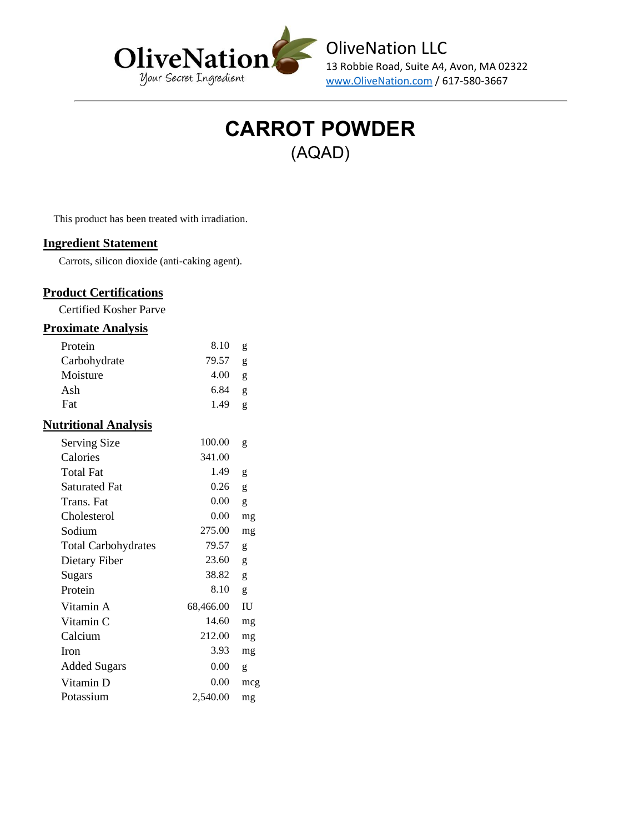



This product has been treated with irradiation.

#### **Ingredient Statement**

Carrots, silicon dioxide (anti-caking agent).

### **Product Certifications**

Certified Kosher Parve

#### **Proximate Analysis**

| Protein                     | 8.10      | g   |
|-----------------------------|-----------|-----|
| Carbohydrate                | 79.57     | g   |
| Moisture                    | 4.00      | g   |
| Ash                         | 6.84      | g   |
| Fat                         | 1.49      | g   |
| <b>Nutritional Analysis</b> |           |     |
| <b>Serving Size</b>         | 100.00    | g   |
| Calories                    | 341.00    |     |
| <b>Total Fat</b>            | 1.49      | g   |
| <b>Saturated Fat</b>        | 0.26      | g   |
| Trans. Fat                  | 0.00      | g   |
| Cholesterol                 | $0.00\,$  | mg  |
| Sodium                      | 275.00    | mg  |
| <b>Total Carbohydrates</b>  | 79.57     | g   |
| Dietary Fiber               | 23.60     | g   |
| Sugars                      | 38.82     | g   |
| Protein                     | 8.10      | g   |
| Vitamin A                   | 68,466.00 | IU  |
| Vitamin C                   | 14.60     | mg  |
| Calcium                     | 212.00    | mg  |
| Iron                        | 3.93      | mg  |
| <b>Added Sugars</b>         | 0.00      | g   |
| Vitamin D                   | 0.00      | mcg |
| Potassium                   | 2,540.00  | mg  |